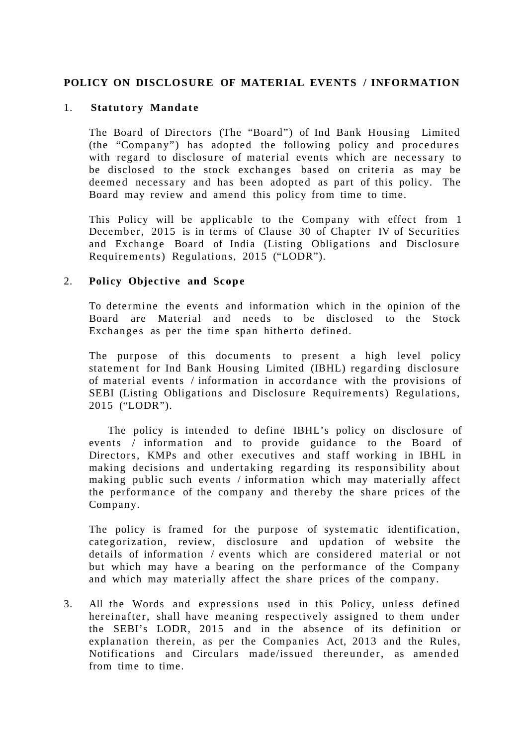### **POLICY ON DISCLOSURE OF MATERIAL EVENTS / INFORMATION**

#### 1. **Statutory Mandate**

The Board of Directors (The "Board") of Ind Bank Housing Limited  $(the " Company")$  has adopted the following policy and procedures with regard to disclosure of material events which are necessary to be disclosed to the stock exchanges based on criteria as may be deemed necessary and has been adopted as part of this policy. The Board may review and amend this policy from time to time.

This Policy will be applicable to the Company with effect from 1 December, 2015 is in terms of Clause 30 of Chapter IV of Securities and Exchange Board of India (Listing Obligations and Disclosure Requirements) Regulations, 2015 ("LODR").

#### 2. **Policy Objective and Scope**

To determine the events and information which in the opinion of the Board are Material and needs to be disclosed to the Stock Exchanges as per the time span hitherto defined.

The purpose of this documents to present a high level policy statement for Ind Bank Housing Limited (IBHL) regarding disclosure of material events / information in accordance with the provisions of SEBI (Listing Obligations and Disclosure Requirements) Regulations, 2015 ("LODR").

 The policy is intended to define IBHL's policy on disclosure of events / information and to provide guidance to the Board of Directors, KMPs and other executives and staff working in IBHL in making decisions and undertaking regarding its responsibility about making public such events / information which may materially affect the performance of the company and thereby the share prices of the Company.

The policy is framed for the purpose of systematic identification, categorization, review, disclosure and updation of website the details of information / events which are considered material or not but which may have a bearing on the performance of the Company and which may materially affect the share prices of the company.

3. All the Words and expressions used in this Policy, unless defined hereinafter, shall have meaning respectively assigned to them under the SEBI's LODR, 2015 and in the absence of its definition or explanation therein, as per the Companies Act, 2013 and the Rules, Notifications and Circulars made/issued thereunder, as amended from time to time.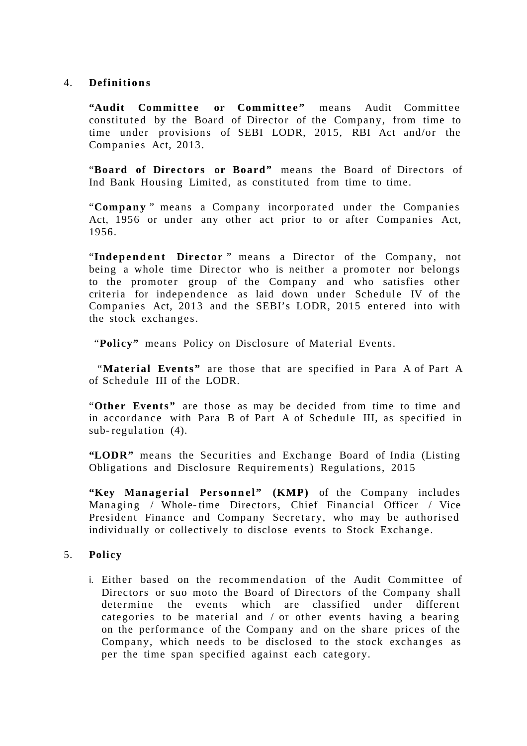### 4. **Definiti o n s**

"Audit Committee or Committee" means Audit Committee constituted by the Board of Director of the Company, from time to time under provisions of SEBI LODR, 2015, RBI Act and/or the Companies Act, 2013.

"Board of Directors or Board" means the Board of Directors of Ind Bank Housing Limited, as constituted from time to time.

"Company" means a Company incorporated under the Companies Act, 1956 or under any other act prior to or after Companies Act, 1956.

"Independent Director" means a Director of the Company, not being a whole time Director who is neither a promoter nor belongs to the promoter group of the Company and who satisfies other criteria for independence as laid down under Schedule IV of the Companies Act, 2013 and the SEBI's LODR, 2015 entered into with the stock exchanges.

"**Policy"** means Policy on Disclosure of Material Events.

 "**Material Events"** are those that are specified in Para A of Part A of Schedule III of the LODR.

"**Other Events"** are those as may be decided from time to time and in accordance with Para B of Part A of Schedule III, as specified in sub- regulation (4).

**"LODR"** means the Securities and Exchange Board of India (Listing Obligations and Disclosure Requirements) Regulations, 2015

"Key Managerial Personnel" (KMP) of the Company includes Managing / Whole- time Directors, Chief Financial Officer / Vice President Finance and Company Secretary, who may be authorised individually or collectively to disclose events to Stock Exchange.

## 5. **Policy**

i. Either based on the recommendation of the Audit Committee of Directors or suo moto the Board of Directors of the Company shall determine the events which are classified under different categories to be material and / or other events having a bearing on the performance of the Company and on the share prices of the Company, which needs to be disclosed to the stock exchanges as per the time span specified against each category.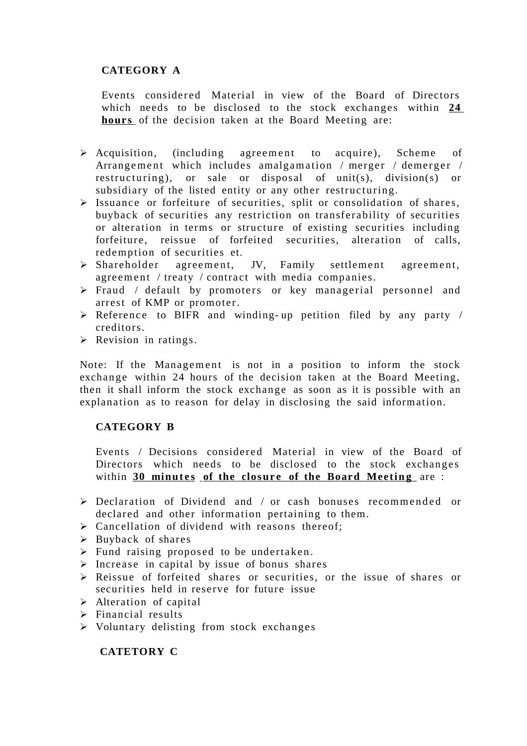# **CATEGORY A**

Events considered Material in view of the Board of Directors which needs to be disclosed to the stock exchanges within **24 hours** of the decision taken at the Board Meeting are:

- $\triangleright$  Acquisition, (including agreement to acquire), Scheme of Arrangement which includes amalgamation / merger / demerger / restructuring), or sale or disposal of unit(s), division(s) or subsidiary of the listed entity or any other restructuring.
- $\triangleright$  Issuance or forfeiture of securities, split or consolidation of shares, buyback of securities any restriction on transferability of securities or alteration in terms or structure of existing securities including forfeiture, reissue of forfeited securities, alteration of calls, redemption of securities et.
- $\triangleright$  Shareholder agreement, JV, Family settlement agreement, agreement / treaty / contract with media companies.
- $\triangleright$  Fraud / default by promoters or key managerial personnel and arrest of KMP or promoter.
- $\triangleright$  Reference to BIFR and winding-up petition filed by any party / creditors.
- $\triangleright$  Revision in ratings.

Note: If the Management is not in a position to inform the stock exchange within 24 hours of the decision taken at the Board Meeting, then it shall inform the stock exchange as soon as it is possible with an explanation as to reason for delay in disclosing the said information.

## **CATEGORY B**

Events / Decisions considered Material in view of the Board of Directors which needs to be disclosed to the stock exchanges within 30 minutes of the closure of the Board Meeting are :

- $\geq$  Declaration of Dividend and / or cash bonuses recommended or declared and other information pertaining to them.
- $\triangleright$  Cancellation of dividend with reasons thereof;
- $\triangleright$  Buyback of shares
- $\triangleright$  Fund raising proposed to be undertaken.
- $\triangleright$  Increase in capital by issue of bonus shares
- Reissue of forfeited shares or securities, or the issue of shares or securities held in reserve for future issue
- > Alteration of capital
- $\triangleright$  Financial results
- $\triangleright$  Voluntary delisting from stock exchanges

 **CATETORY C**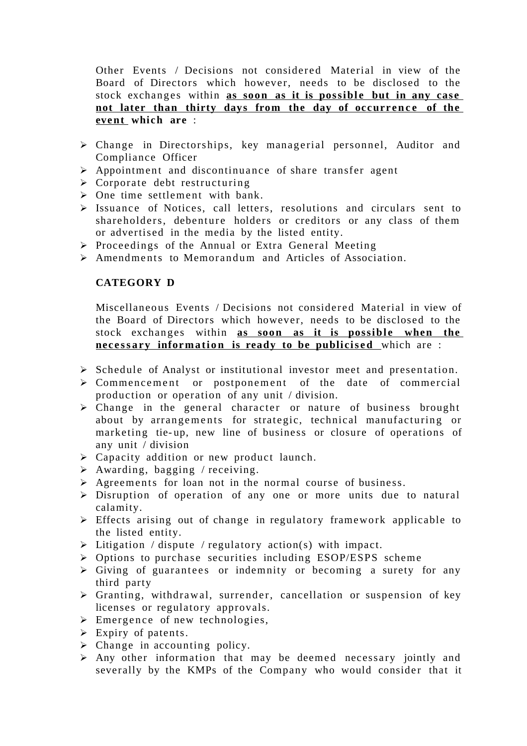Other Events / Decisions not considered Material in view of the Board of Directors which however, needs to be disclosed to the stock exchanges within **as soon as it is possible but in any case** not later than thirty days from the day of occurrence of the **event which are** :

- $\triangleright$  Change in Directorships, key managerial personnel, Auditor and Compliance Officer
- $\triangleright$  Appointment and discontinuance of share transfer agent
- $\triangleright$  Corporate debt restructuring
- $\triangleright$  One time settlement with bank.
- $\triangleright$  Issuance of Notices, call letters, resolutions and circulars sent to shareholders, debenture holders or creditors or any class of them or advertised in the media by the listed entity.
- $\triangleright$  Proceedings of the Annual or Extra General Meeting
- $\triangleright$  Amendments to Memorandum and Articles of Association.

### **CATEGORY D**

Miscellaneous Events / Decisions not considered Material in view of the Board of Directors which however, needs to be disclosed to the stock exchanges within as soon as it is possible when the **necessary information is ready to be publicised** which are :

- $\triangleright$  Schedule of Analyst or institutional investor meet and presentation.
- $\triangleright$  Commencement or postponement of the date of commercial production or operation of any unit / division.
- $\triangleright$  Change in the general character or nature of business brought about by arrangements for strategic, technical manufacturing or marketing tie-up, new line of business or closure of operations of any unit / division
- Capacity addition or new product launch.
- $\triangleright$  Awarding, bagging / receiving.
- $\triangleright$  Agreements for loan not in the normal course of business.
- $\triangleright$  Disruption of operation of any one or more units due to natural calamity.
- Effects arising out of change in regulatory framework applicable to the listed entity.
- $\triangleright$  Litigation / dispute / regulatory action(s) with impact.
- $\triangleright$  Options to purchase securities including ESOP/ESPS scheme
- $\triangleright$  Giving of guarantees or indemnity or becoming a surety for any third party
- $\triangleright$  Granting, withdrawal, surrender, cancellation or suspension of key licenses or regulatory approvals.
- $\triangleright$  Emergence of new technologies,
- $\triangleright$  Expiry of patents.
- $\triangleright$  Change in accounting policy.
- $\triangleright$  Any other information that may be deemed necessary jointly and severally by the KMPs of the Company who would consider that it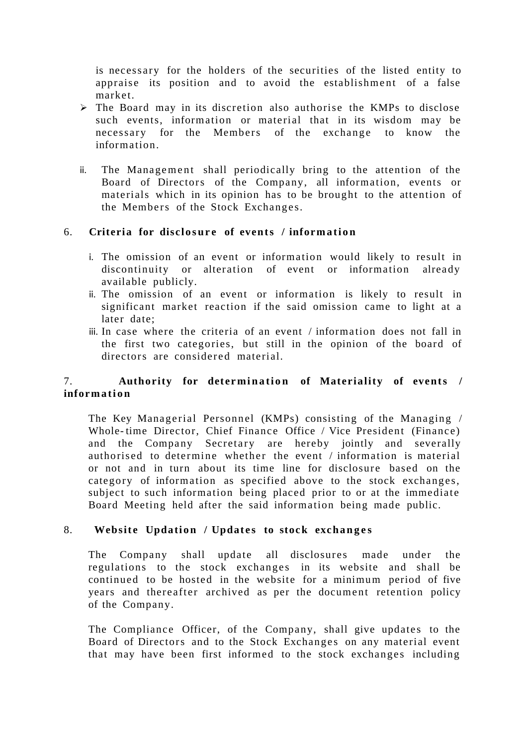is necessary for the holders of the securities of the listed entity to appraise its position and to avoid the establishment of a false market.

- $\triangleright$  The Board may in its discretion also authorise the KMPs to disclose such events, information or material that in its wisdom may be necessary for the Members of the exchange to know the information.
- ii. The Management shall periodically bring to the attention of the Board of Directors of the Company, all information, events or materials which in its opinion has to be brought to the attention of the Members of the Stock Exchanges.

### 6. **Criteria for disclosure of events / information**

- i. The omission of an event or information would likely to result in discontinuity or alteration of event or information already available publicly.
- ii. The omission of an event or information is likely to result in significant market reaction if the said omission came to light at a later date;
- iii. In case where the criteria of an event / information does not fall in the first two categories, but still in the opinion of the board of directors are considered material

## 7. **Authority for determination of Materiality of events** / **inform a ti o n**

The Key Managerial Personnel (KMPs) consisting of the Managing / Whole- time Director, Chief Finance Office / Vice President (Finance) and the Company Secretary are hereby jointly and severally authorised to determine whether the event / information is material or not and in turn about its time line for disclosure based on the category of information as specified above to the stock exchanges, subject to such information being placed prior to or at the immediate Board Meeting held after the said information being made public.

#### 8. **Website Updation / Updates to stock exchanges**

The Company shall update all disclosures made under the regulations to the stock exchanges in its website and shall be continued to be hosted in the website for a minimum period of five years and thereafter archived as per the document retention policy of the Company.

The Compliance Officer, of the Company, shall give updates to the Board of Directors and to the Stock Exchanges on any material event that may have been first informed to the stock exchanges including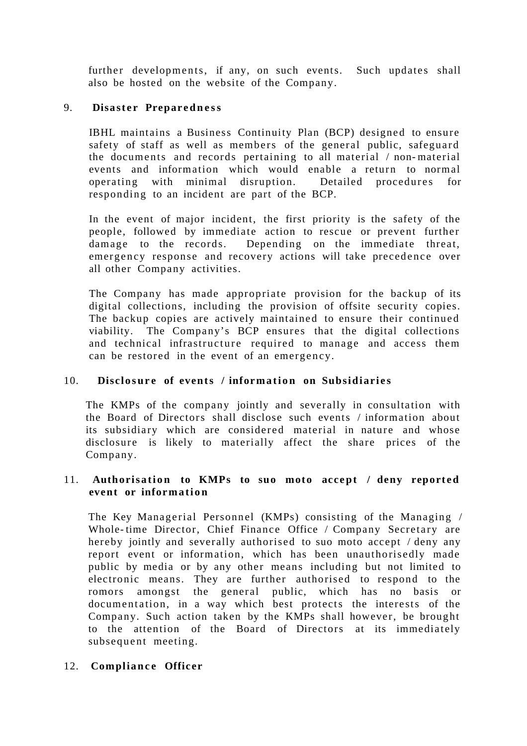further developments, if any, on such events. Such updates shall also be hosted on the website of the Company.

### 9. **Disaster Preparedness**

IBHL maintains a Business Continuity Plan (BCP) designed to ensure safety of staff as well as members of the general public, safeguard the docume nts and records pertaining to all material / non- material events and information which would enable a return to normal operating with minimal disruption. Detailed procedures for responding to an incident are part of the BCP.

In the event of major incident, the first priority is the safety of the people, followed by immediate action to rescue or prevent further damage to the records. Depending on the immediate threat, emergency response and recovery actions will take precedence over all other Company activities.

The Company has made appropriate provision for the backup of its digital collections, including the provision of offsite security copies. The backup copies are actively maintained to ensure their continued viability. The Company's BCP ensures that the digital collections and technical infrastructure required to manage and access them can be restored in the event of an emergency.

## 10. **Disclosure of events / information on Subsidiaries**

The KMPs of the company jointly and severally in consultation with the Board of Directors shall disclose such events / information about its subsidiary which are considered material in nature and whose disclosure is likely to materially affect the share prices of the Company.

#### 11. Authorisation to KMPs to suo moto accept / deny reported event or information

The Key Managerial Personnel (KMPs) consisting of the Managing / Whole-time Director, Chief Finance Office / Company Secretary are hereby jointly and severally authorised to suo moto accept / deny any report event or information, which has been unauthorisedly made public by media or by any other means including but not limited to electronic means. They are further authorised to respond to the romors amongst the general public, which has no basis or documentation, in a way which best protects the interests of the Company. Such action taken by the KMPs shall however, be brought to the attention of the Board of Directors at its immediately subsequent meeting.

#### 12. **Compliance Officer**